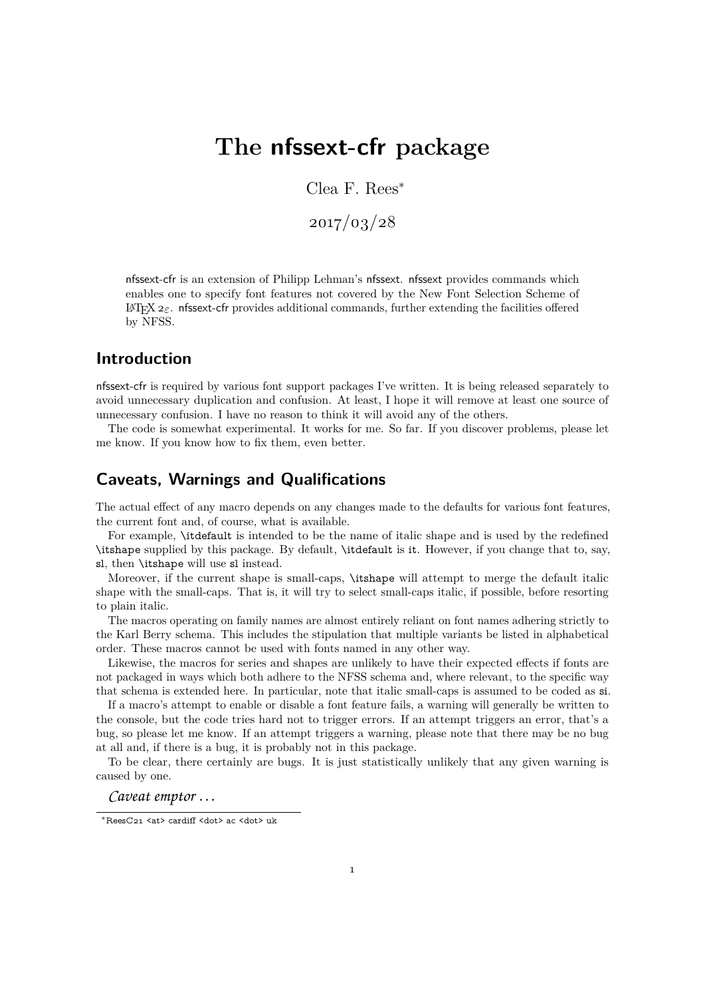# **The nfssext-cfr package**

Clea F. Rees<sup>∗</sup>

2017/03/28

nfssext-cfr is an extension of Philipp Lehman's nfssext. nfssext provides commands which enables one to specify font features not covered by the New Font Selection Scheme of LATEX2*ε*. nfssext-cfr provides additional commands, further extending the facilities offered by NFSS.

#### **Introduction**

nfssext-cfr is required by various font support packages I've written. It is being released separately to avoid unnecessary duplication and confusion. At least, I hope it will remove at least one source of unnecessary confusion. I have no reason to think it will avoid any of the others.

The code is somewhat experimental. It works for me. So far. If you discover problems, please let me know. If you know how to fix them, even better.

#### **Caveats, Warnings and Qualifications**

The actual effect of any macro depends on any changes made to the defaults for various font features, the current font and, of course, what is available.

For example, \itdefault is intended to be the name of italic shape and is used by the redefined \itshape supplied by this package. By default, \itdefault is it. However, if you change that to, say, sl, then \itshape will use sl instead.

Moreover, if the current shape is small-caps, \itshape will attempt to merge the default italic shape with the small-caps. That is, it will try to select small-caps italic, if possible, before resorting to plain italic.

The macros operating on family names are almost entirely reliant on font names adhering strictly to the Karl Berry schema. This includes the stipulation that multiple variants be listed in alphabetical order. These macros cannot be used with fonts named in any other way.

Likewise, the macros for series and shapes are unlikely to have their expected effects if fonts are not packaged in ways which both adhere to the NFSS schema and, where relevant, to the specific way that schema is extended here. In particular, note that italic small-caps is assumed to be coded as si.

If a macro's attempt to enable or disable a font feature fails, a warning will generally be written to the console, but the code tries hard not to trigger errors. If an attempt triggers an error, that's a bug, so please let me know. If an attempt triggers a warning, please note that there may be no bug at all and, if there is a bug, it is probably not in this package.

To be clear, there certainly are bugs. It is just statistically unlikely that any given warning is caused by one.

*Caveat emptor . . .*

<sup>∗</sup>ReesC21 <at> cardiff <dot> ac <dot> uk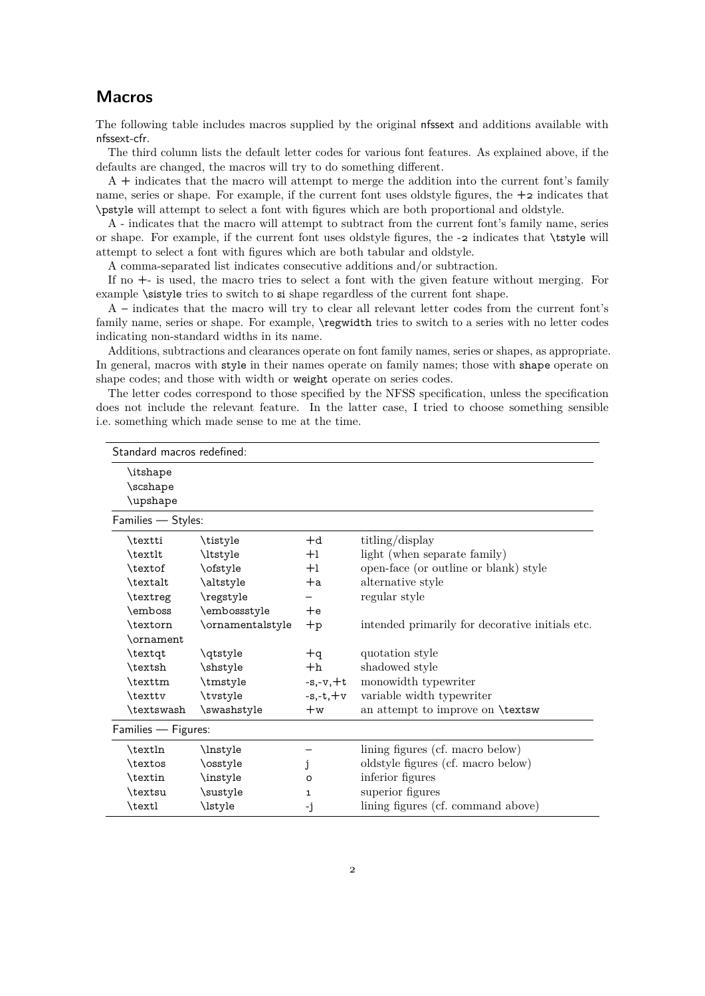### **Macros**

The following table includes macros supplied by the original nfssext and additions available with nfssext-cfr.

The third column lists the default letter codes for various font features. As explained above, if the defaults are changed, the macros will try to do something different.

A + indicates that the macro will attempt to merge the addition into the current font's family name, series or shape. For example, if the current font uses oldstyle figures, the  $+2$  indicates that \pstyle will attempt to select a font with figures which are both proportional and oldstyle.

A - indicates that the macro will attempt to subtract from the current font's family name, series or shape. For example, if the current font uses oldstyle figures, the -2 indicates that \tstyle will attempt to select a font with figures which are both tabular and oldstyle.

A comma-separated list indicates consecutive additions and/or subtraction.

If no +- is used, the macro tries to select a font with the given feature without merging. For example **\sistyle** tries to switch to si shape regardless of the current font shape.

A – indicates that the macro will try to clear all relevant letter codes from the current font's family name, series or shape. For example,  $\reg{weight}$  tries to switch to a series with no letter codes indicating non-standard widths in its name.

Additions, subtractions and clearances operate on font family names, series or shapes, as appropriate. In general, macros with style in their names operate on family names; those with shape operate on shape codes; and those with width or weight operate on series codes.

The letter codes correspond to those specified by the NFSS specification, unless the specification does not include the relevant feature. In the latter case, I tried to choose something sensible i.e. something which made sense to me at the time.

| Standard macros redefined: |                  |            |                                                 |  |  |  |
|----------------------------|------------------|------------|-------------------------------------------------|--|--|--|
| \itshape                   |                  |            |                                                 |  |  |  |
| \scshape                   |                  |            |                                                 |  |  |  |
| \upshape                   |                  |            |                                                 |  |  |  |
| Families - Styles:         |                  |            |                                                 |  |  |  |
| \textti                    | \tistyle         | $+d$       | titling/display                                 |  |  |  |
| \textlt                    | \ltstyle         | $+1$       | light (when separate family)                    |  |  |  |
| \textof                    | \ofstyle         | $+1$       | open-face (or outline or blank) style           |  |  |  |
| \textalt                   | \altstyle        | $+a$       | alternative style                               |  |  |  |
| \textreg                   | \regstyle        |            | regular style                                   |  |  |  |
| \emboss                    | \embossstyle     | $+e$       |                                                 |  |  |  |
| \textorn                   | \ornamentalstyle | $+p$       | intended primarily for decorative initials etc. |  |  |  |
| \ornament                  |                  |            |                                                 |  |  |  |
| \textqt                    | \qtstyle         | $+q$       | quotation style                                 |  |  |  |
| \textsh                    | \shstyle         | $+h$       | shadowed style                                  |  |  |  |
| \texttm                    | \tmstyle         | $-s,-v,+t$ | monowidth typewriter                            |  |  |  |
| \texttv                    | \tvstyle         | $-s.-t.+v$ | variable width typewriter                       |  |  |  |
| \textswash                 | \swashstyle      | $+w$       | an attempt to improve on <b>\textsw</b>         |  |  |  |
| Families - Figures:        |                  |            |                                                 |  |  |  |
| \textln                    | \lnstyle         |            | lining figures (cf. macro below)                |  |  |  |
| \textos                    | \osstyle         | j          | oldstyle figures (cf. macro below)              |  |  |  |
| \textin                    | \instyle         | O          | inferior figures                                |  |  |  |
| \textsu                    | \sustyle         | 1          | superior figures                                |  |  |  |
| \textl                     | \lstyle          | -j         | lining figures (cf. command above)              |  |  |  |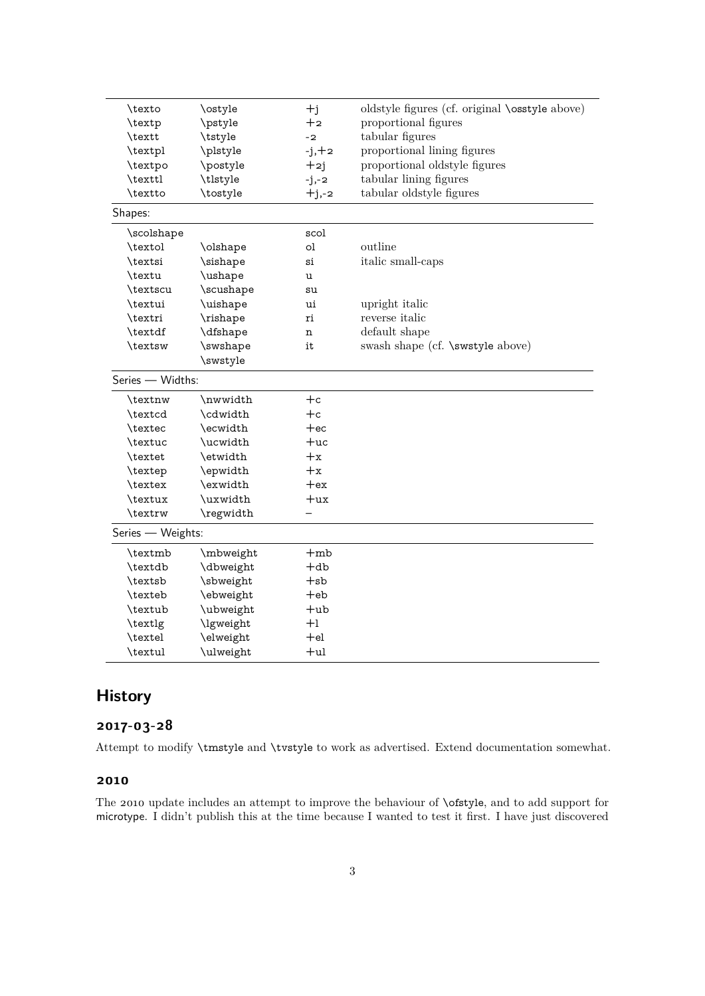| oldstyle figures (cf. original <b>\osstyle</b> above)<br>\texto<br>\ostyle<br>$+j$<br>proportional figures<br>\pstyle<br>$+2$<br>\textp<br>tabular figures<br>\textt<br>\tstyle<br>$-2$<br>proportional lining figures<br>\textpl<br>\plstyle<br>$-j, +2$<br>\postyle<br>proportional oldstyle figures<br>\textpo<br>$+2j$<br>tabular lining figures<br>\texttl<br>\tlstyle<br>$-j,-2$<br>\textto<br>\tostyle<br>tabular oldstyle figures<br>$+j,-2$<br>Shapes:<br>\scolshape<br>scol<br>outline<br>\textol<br>ol<br>\olshape<br>\textsi<br>\sishape<br>italic small-caps<br>si<br>\ushape<br>\textu<br>u<br>\scushape<br>\textscu<br>su<br>\textui<br>\uishape<br>upright italic<br>ui<br>reverse <i>italic</i><br>\textri<br>\rishape<br>ri<br>\textdf<br>\dfshape<br>default shape<br>n<br>swash shape (cf. \swstyle above)<br>\textsw<br>\swshape<br>it<br>\swstyle<br>Series - Widths:<br>$+c$<br>\textnw<br>\nwwidth<br>$+c$<br>\textcd<br>\cdwidth<br>\ecwidth<br>$+ec$<br>\textec<br>\ucwidth<br>$+uc$<br>\textuc<br>\textet<br>\etwidth<br>$+x$<br>$+x$<br>\textep<br>\epwidth<br>\textex<br>\exwidth<br>$+ex$<br>\textux<br>\uxwidth<br>$+ux$<br>\textrw<br>\regwidth<br>Series - Weights: |         |           |       |  |  |  |  |
|------------------------------------------------------------------------------------------------------------------------------------------------------------------------------------------------------------------------------------------------------------------------------------------------------------------------------------------------------------------------------------------------------------------------------------------------------------------------------------------------------------------------------------------------------------------------------------------------------------------------------------------------------------------------------------------------------------------------------------------------------------------------------------------------------------------------------------------------------------------------------------------------------------------------------------------------------------------------------------------------------------------------------------------------------------------------------------------------------------------------------------------------------------------------------------------------------|---------|-----------|-------|--|--|--|--|
|                                                                                                                                                                                                                                                                                                                                                                                                                                                                                                                                                                                                                                                                                                                                                                                                                                                                                                                                                                                                                                                                                                                                                                                                      |         |           |       |  |  |  |  |
|                                                                                                                                                                                                                                                                                                                                                                                                                                                                                                                                                                                                                                                                                                                                                                                                                                                                                                                                                                                                                                                                                                                                                                                                      |         |           |       |  |  |  |  |
|                                                                                                                                                                                                                                                                                                                                                                                                                                                                                                                                                                                                                                                                                                                                                                                                                                                                                                                                                                                                                                                                                                                                                                                                      |         |           |       |  |  |  |  |
|                                                                                                                                                                                                                                                                                                                                                                                                                                                                                                                                                                                                                                                                                                                                                                                                                                                                                                                                                                                                                                                                                                                                                                                                      |         |           |       |  |  |  |  |
|                                                                                                                                                                                                                                                                                                                                                                                                                                                                                                                                                                                                                                                                                                                                                                                                                                                                                                                                                                                                                                                                                                                                                                                                      |         |           |       |  |  |  |  |
|                                                                                                                                                                                                                                                                                                                                                                                                                                                                                                                                                                                                                                                                                                                                                                                                                                                                                                                                                                                                                                                                                                                                                                                                      |         |           |       |  |  |  |  |
|                                                                                                                                                                                                                                                                                                                                                                                                                                                                                                                                                                                                                                                                                                                                                                                                                                                                                                                                                                                                                                                                                                                                                                                                      |         |           |       |  |  |  |  |
|                                                                                                                                                                                                                                                                                                                                                                                                                                                                                                                                                                                                                                                                                                                                                                                                                                                                                                                                                                                                                                                                                                                                                                                                      |         |           |       |  |  |  |  |
|                                                                                                                                                                                                                                                                                                                                                                                                                                                                                                                                                                                                                                                                                                                                                                                                                                                                                                                                                                                                                                                                                                                                                                                                      |         |           |       |  |  |  |  |
|                                                                                                                                                                                                                                                                                                                                                                                                                                                                                                                                                                                                                                                                                                                                                                                                                                                                                                                                                                                                                                                                                                                                                                                                      |         |           |       |  |  |  |  |
|                                                                                                                                                                                                                                                                                                                                                                                                                                                                                                                                                                                                                                                                                                                                                                                                                                                                                                                                                                                                                                                                                                                                                                                                      |         |           |       |  |  |  |  |
|                                                                                                                                                                                                                                                                                                                                                                                                                                                                                                                                                                                                                                                                                                                                                                                                                                                                                                                                                                                                                                                                                                                                                                                                      |         |           |       |  |  |  |  |
|                                                                                                                                                                                                                                                                                                                                                                                                                                                                                                                                                                                                                                                                                                                                                                                                                                                                                                                                                                                                                                                                                                                                                                                                      |         |           |       |  |  |  |  |
|                                                                                                                                                                                                                                                                                                                                                                                                                                                                                                                                                                                                                                                                                                                                                                                                                                                                                                                                                                                                                                                                                                                                                                                                      |         |           |       |  |  |  |  |
|                                                                                                                                                                                                                                                                                                                                                                                                                                                                                                                                                                                                                                                                                                                                                                                                                                                                                                                                                                                                                                                                                                                                                                                                      |         |           |       |  |  |  |  |
|                                                                                                                                                                                                                                                                                                                                                                                                                                                                                                                                                                                                                                                                                                                                                                                                                                                                                                                                                                                                                                                                                                                                                                                                      |         |           |       |  |  |  |  |
|                                                                                                                                                                                                                                                                                                                                                                                                                                                                                                                                                                                                                                                                                                                                                                                                                                                                                                                                                                                                                                                                                                                                                                                                      |         |           |       |  |  |  |  |
|                                                                                                                                                                                                                                                                                                                                                                                                                                                                                                                                                                                                                                                                                                                                                                                                                                                                                                                                                                                                                                                                                                                                                                                                      |         |           |       |  |  |  |  |
|                                                                                                                                                                                                                                                                                                                                                                                                                                                                                                                                                                                                                                                                                                                                                                                                                                                                                                                                                                                                                                                                                                                                                                                                      |         |           |       |  |  |  |  |
|                                                                                                                                                                                                                                                                                                                                                                                                                                                                                                                                                                                                                                                                                                                                                                                                                                                                                                                                                                                                                                                                                                                                                                                                      |         |           |       |  |  |  |  |
|                                                                                                                                                                                                                                                                                                                                                                                                                                                                                                                                                                                                                                                                                                                                                                                                                                                                                                                                                                                                                                                                                                                                                                                                      |         |           |       |  |  |  |  |
|                                                                                                                                                                                                                                                                                                                                                                                                                                                                                                                                                                                                                                                                                                                                                                                                                                                                                                                                                                                                                                                                                                                                                                                                      |         |           |       |  |  |  |  |
|                                                                                                                                                                                                                                                                                                                                                                                                                                                                                                                                                                                                                                                                                                                                                                                                                                                                                                                                                                                                                                                                                                                                                                                                      |         |           |       |  |  |  |  |
|                                                                                                                                                                                                                                                                                                                                                                                                                                                                                                                                                                                                                                                                                                                                                                                                                                                                                                                                                                                                                                                                                                                                                                                                      |         |           |       |  |  |  |  |
|                                                                                                                                                                                                                                                                                                                                                                                                                                                                                                                                                                                                                                                                                                                                                                                                                                                                                                                                                                                                                                                                                                                                                                                                      |         |           |       |  |  |  |  |
|                                                                                                                                                                                                                                                                                                                                                                                                                                                                                                                                                                                                                                                                                                                                                                                                                                                                                                                                                                                                                                                                                                                                                                                                      |         |           |       |  |  |  |  |
|                                                                                                                                                                                                                                                                                                                                                                                                                                                                                                                                                                                                                                                                                                                                                                                                                                                                                                                                                                                                                                                                                                                                                                                                      |         |           |       |  |  |  |  |
|                                                                                                                                                                                                                                                                                                                                                                                                                                                                                                                                                                                                                                                                                                                                                                                                                                                                                                                                                                                                                                                                                                                                                                                                      |         |           |       |  |  |  |  |
|                                                                                                                                                                                                                                                                                                                                                                                                                                                                                                                                                                                                                                                                                                                                                                                                                                                                                                                                                                                                                                                                                                                                                                                                      |         |           |       |  |  |  |  |
|                                                                                                                                                                                                                                                                                                                                                                                                                                                                                                                                                                                                                                                                                                                                                                                                                                                                                                                                                                                                                                                                                                                                                                                                      | \textmb | \mbweight | $+mb$ |  |  |  |  |
| $+$ db<br>\textdb<br>\dbweight                                                                                                                                                                                                                                                                                                                                                                                                                                                                                                                                                                                                                                                                                                                                                                                                                                                                                                                                                                                                                                                                                                                                                                       |         |           |       |  |  |  |  |
| \textsb<br>\sbweight<br>$+$ sb                                                                                                                                                                                                                                                                                                                                                                                                                                                                                                                                                                                                                                                                                                                                                                                                                                                                                                                                                                                                                                                                                                                                                                       |         |           |       |  |  |  |  |
| \ebweight<br>\texteb<br>$+eb$                                                                                                                                                                                                                                                                                                                                                                                                                                                                                                                                                                                                                                                                                                                                                                                                                                                                                                                                                                                                                                                                                                                                                                        |         |           |       |  |  |  |  |
| \textub<br>\ubweight<br>$+$ ub                                                                                                                                                                                                                                                                                                                                                                                                                                                                                                                                                                                                                                                                                                                                                                                                                                                                                                                                                                                                                                                                                                                                                                       |         |           |       |  |  |  |  |
| $+1$<br>\textlg<br>\lgweight                                                                                                                                                                                                                                                                                                                                                                                                                                                                                                                                                                                                                                                                                                                                                                                                                                                                                                                                                                                                                                                                                                                                                                         |         |           |       |  |  |  |  |
| \elweight<br>\textel<br>$+el$                                                                                                                                                                                                                                                                                                                                                                                                                                                                                                                                                                                                                                                                                                                                                                                                                                                                                                                                                                                                                                                                                                                                                                        |         |           |       |  |  |  |  |
| \textul<br>\ulweight<br>$+ul$                                                                                                                                                                                                                                                                                                                                                                                                                                                                                                                                                                                                                                                                                                                                                                                                                                                                                                                                                                                                                                                                                                                                                                        |         |           |       |  |  |  |  |

## **History**

### **2017-03-28**

Attempt to modify \tmstyle and \tvstyle to work as advertised. Extend documentation somewhat.

#### **2010**

The 2010 update includes an attempt to improve the behaviour of \ofstyle, and to add support for microtype. I didn't publish this at the time because I wanted to test it first. I have just discovered